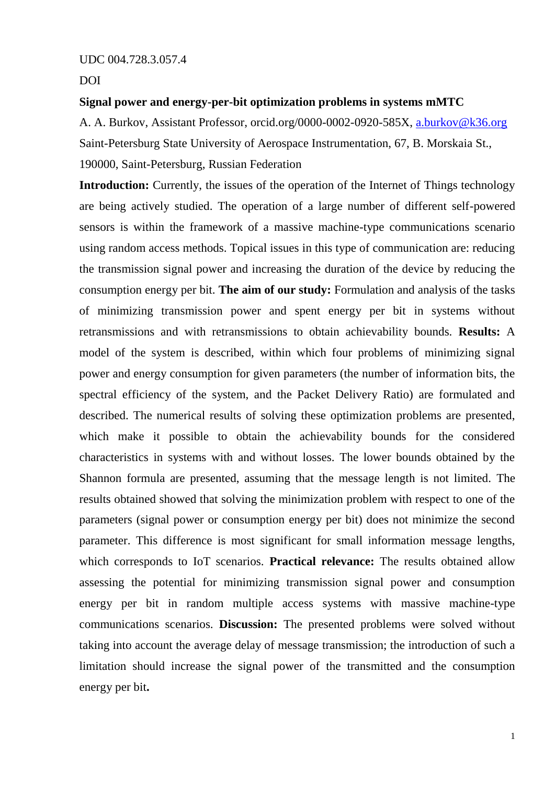UDC 004.728.3.057.4

DOI

## **Signal power and energy-per-bit optimization problems in systems mMTC**

A. A. Burkov, Assistant Professor, orcid.org/0000-0002-0920-585X, [a.burkov@k36.org](mailto:a.burkov@k36.org) Saint-Petersburg State University of Aerospace Instrumentation, 67, B. Morskaia St., 190000, Saint-Petersburg, Russian Federation

**Introduction:** Currently, the issues of the operation of the Internet of Things technology are being actively studied. The operation of a large number of different self-powered sensors is within the framework of a massive machine-type communications scenario using random access methods. Topical issues in this type of communication are: reducing the transmission signal power and increasing the duration of the device by reducing the consumption energy per bit. **The aim of our study:** Formulation and analysis of the tasks of minimizing transmission power and spent energy per bit in systems without retransmissions and with retransmissions to obtain achievability bounds. **Results:** A model of the system is described, within which four problems of minimizing signal power and energy consumption for given parameters (the number of information bits, the spectral efficiency of the system, and the Packet Delivery Ratio) are formulated and described. The numerical results of solving these optimization problems are presented, which make it possible to obtain the achievability bounds for the considered characteristics in systems with and without losses. The lower bounds obtained by the Shannon formula are presented, assuming that the message length is not limited. The results obtained showed that solving the minimization problem with respect to one of the parameters (signal power or consumption energy per bit) does not minimize the second parameter. This difference is most significant for small information message lengths, which corresponds to IoT scenarios. **Practical relevance:** The results obtained allow assessing the potential for minimizing transmission signal power and consumption energy per bit in random multiple access systems with massive machine-type communications scenarios. **Discussion:** The presented problems were solved without taking into account the average delay of message transmission; the introduction of such a limitation should increase the signal power of the transmitted and the consumption energy per bit**.**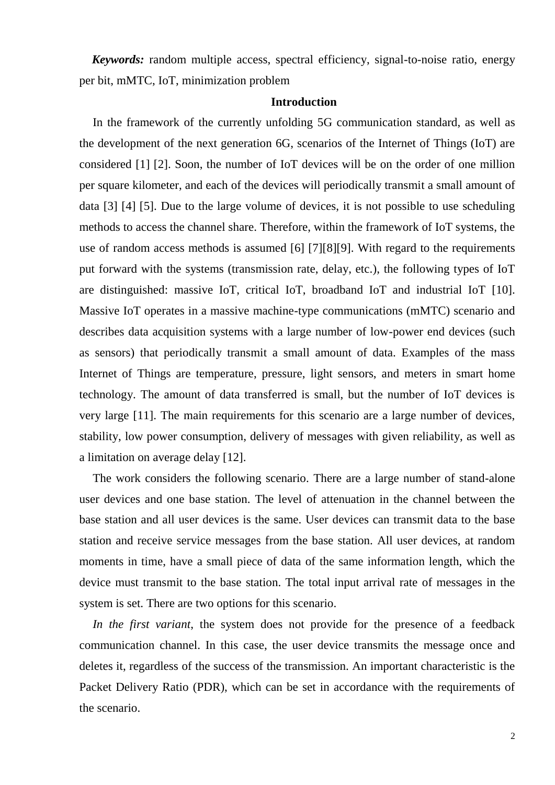*Keywords:* random multiple access, spectral efficiency, signal-to-noise ratio, energy per bit, mMTC, IoT, minimization problem

#### **Introduction**

In the framework of the currently unfolding 5G communication standard, as well as the development of the next generation 6G, scenarios of the Internet of Things (IoT) are considered [1] [2]. Soon, the number of IoT devices will be on the order of one million per square kilometer, and each of the devices will periodically transmit a small amount of data [3] [4] [5]. Due to the large volume of devices, it is not possible to use scheduling methods to access the channel share. Therefore, within the framework of IoT systems, the use of random access methods is assumed [6] [7][8][9]. With regard to the requirements put forward with the systems (transmission rate, delay, etc.), the following types of IoT are distinguished: massive IoT, critical IoT, broadband IoT and industrial IoT [10]. Massive IoT operates in a massive machine-type communications (mMTC) scenario and describes data acquisition systems with a large number of low-power end devices (such as sensors) that periodically transmit a small amount of data. Examples of the mass Internet of Things are temperature, pressure, light sensors, and meters in smart home technology. The amount of data transferred is small, but the number of IoT devices is very large [11]. The main requirements for this scenario are a large number of devices, stability, low power consumption, delivery of messages with given reliability, as well as a limitation on average delay [12].

The work considers the following scenario. There are a large number of stand-alone user devices and one base station. The level of attenuation in the channel between the base station and all user devices is the same. User devices can transmit data to the base station and receive service messages from the base station. All user devices, at random moments in time, have a small piece of data of the same information length, which the device must transmit to the base station. The total input arrival rate of messages in the system is set. There are two options for this scenario.

*In the first variant*, the system does not provide for the presence of a feedback communication channel. In this case, the user device transmits the message once and deletes it, regardless of the success of the transmission. An important characteristic is the Packet Delivery Ratio (PDR), which can be set in accordance with the requirements of the scenario.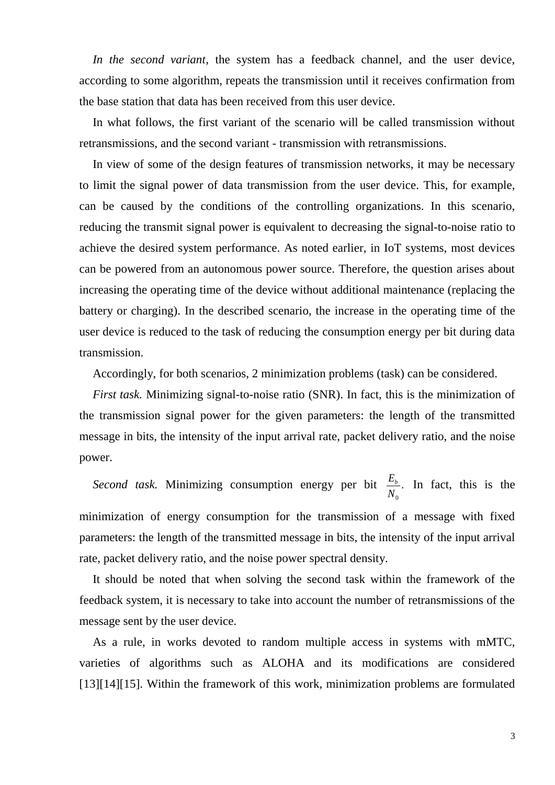*In the second variant*, the system has a feedback channel, and the user device, according to some algorithm, repeats the transmission until it receives confirmation from the base station that data has been received from this user device.

In what follows, the first variant of the scenario will be called transmission without retransmissions, and the second variant - transmission with retransmissions.

In view of some of the design features of transmission networks, it may be necessary to limit the signal power of data transmission from the user device. This, for example, can be caused by the conditions of the controlling organizations. In this scenario, reducing the transmit signal power is equivalent to decreasing the signal-to-noise ratio to achieve the desired system performance. As noted earlier, in IoT systems, most devices can be powered from an autonomous power source. Therefore, the question arises about increasing the operating time of the device without additional maintenance (replacing the battery or charging). In the described scenario, the increase in the operating time of the user device is reduced to the task of reducing the consumption energy per bit during data transmission.

Accordingly, for both scenarios, 2 minimization problems (task) can be considered.

*First task.* Minimizing signal-to-noise ratio (SNR). In fact, this is the minimization of the transmission signal power for the given parameters: the length of the transmitted message in bits, the intensity of the input arrival rate, packet delivery ratio, and the noise power.

*Second task.* Minimizing consumption energy per bit 0  $\frac{E_b}{\cdots}$ . *N* In fact, this is the minimization of energy consumption for the transmission of a message with fixed parameters: the length of the transmitted message in bits, the intensity of the input arrival rate, packet delivery ratio, and the noise power spectral density.

It should be noted that when solving the second task within the framework of the feedback system, it is necessary to take into account the number of retransmissions of the message sent by the user device.

As a rule, in works devoted to random multiple access in systems with mMTC, varieties of algorithms such as ALOHA and its modifications are considered [13][14][15]. Within the framework of this work, minimization problems are formulated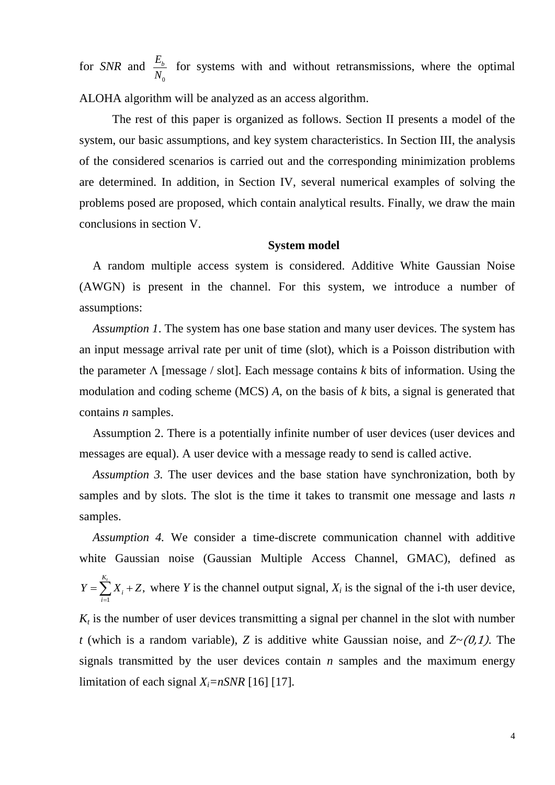for *SNR* and  $\mathbf{0}$ *Eb N* for systems with and without retransmissions, where the optimal ALOHA algorithm will be analyzed as an access algorithm.

The rest of this paper is organized as follows. Section II presents a model of the system, our basic assumptions, and key system characteristics. In Section III, the analysis of the considered scenarios is carried out and the corresponding minimization problems are determined. In addition, in Section IV, several numerical examples of solving the problems posed are proposed, which contain analytical results. Finally, we draw the main conclusions in section V.

## **System model**

A random multiple access system is considered. Additive White Gaussian Noise (AWGN) is present in the channel. For this system, we introduce a number of assumptions:

*Assumption 1*. The system has one base station and many user devices. The system has an input message arrival rate per unit of time (slot), which is a Poisson distribution with the parameter Λ [message / slot]. Each message contains *k* bits of information. Using the modulation and coding scheme (MCS) *A*, on the basis of *k* bits, a signal is generated that contains *n* samples.

Assumption 2. There is a potentially infinite number of user devices (user devices and messages are equal). A user device with a message ready to send is called active.

*Assumption 3.* The user devices and the base station have synchronization, both by samples and by slots. The slot is the time it takes to transmit one message and lasts *n* samples.

*Assumption 4.* We consider a time-discrete communication channel with additive white Gaussian noise (Gaussian Multiple Access Channel, GMAC), defined as 1 , *Kt i i*  $Y = \sum X_i + Z$  $=\sum_{i=1}^{1} X_i + Z$ , where *Y* is the channel output signal,  $X_i$  is the signal of the i-th user device,

 $K_t$  is the number of user devices transmitting a signal per channel in the slot with number *t* (which is a random variable), *Z* is additive white Gaussian noise, and  $Z \sim (0.1)$ . The signals transmitted by the user devices contain *n* samples and the maximum energy limitation of each signal  $X_i = nSNR$  [16] [17].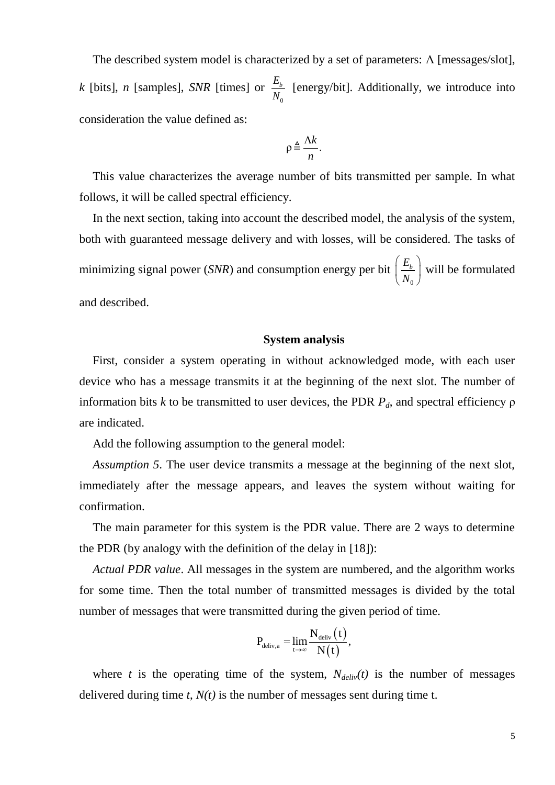The described system model is characterized by a set of parameters:  $\Lambda$  [messages/slot], *k* [bits], *n* [samples], *SNR* [times] or 0 *Eb N* [energy/bit]. Additionally, we introduce into consideration the value defined as:

$$
\rho \triangleq \frac{\Lambda k}{n}.
$$

This value characterizes the average number of bits transmitted per sample. In what follows, it will be called spectral efficiency.

In the next section, taking into account the described model, the analysis of the system, both with guaranteed message delivery and with losses, will be considered. The tasks of minimizing signal power (*SNR*) and consumption energy per bit 0 *Eb*  $\left(\frac{E_b}{N_0}\right)$  will be formulated and described.

### **System analysis**

First, consider a system operating in without acknowledged mode, with each user device who has a message transmits it at the beginning of the next slot. The number of information bits *k* to be transmitted to user devices, the PDR *Pd*, and spectral efficiency ρ are indicated.

Add the following assumption to the general model:

*Assumption 5*. The user device transmits a message at the beginning of the next slot, immediately after the message appears, and leaves the system without waiting for confirmation.

The main parameter for this system is the PDR value. There are 2 ways to determine the PDR (by analogy with the definition of the delay in [18]):

*Actual PDR value*. All messages in the system are numbered, and the algorithm works for some time. Then the total number of transmitted messages is divided by the total number of messages that were transmitted during the given period of time.

$$
P_{\text{deliv},a} = \lim_{t \to \infty} \frac{N_{\text{deliv}}\left(t\right)}{N\!\left(t\right)},
$$

where *t* is the operating time of the system,  $N_{\text{deliv}}(t)$  is the number of messages delivered during time *t*, *N(t)* is the number of messages sent during time t.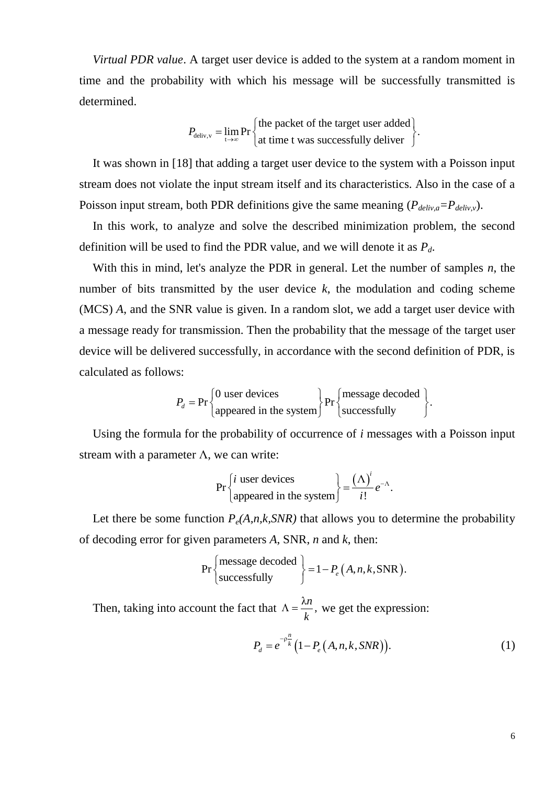*Virtual PDR value*. A target user device is added to the system at a random moment in time and the probability with which his message will be successfully transmitted is determined.

 $_{\text{deliv,v}}$   $_{\text{t}}$ the packet of the target user added  $P_{\text{deliv}, v} = \lim_{t \to \infty} Pr \left\{ \begin{matrix} \text{the packet of the target user added} \\ \text{at time t was successfully deliver} \end{matrix} \right\}.$  $\int$  the packet of the target user added =  $\lim_{t\to\infty} Pr\begin{cases}$  the packet of the target user added  $\end{cases}$ .

It was shown in [18] that adding a target user device to the system with a Poisson input stream does not violate the input stream itself and its characteristics. Also in the case of a Poisson input stream, both PDR definitions give the same meaning ( $P_{\text{delay},a} = P_{\text{delay},v}$ ).

In this work, to analyze and solve the described minimization problem, the second definition will be used to find the PDR value, and we will denote it as *Pd*.

With this in mind, let's analyze the PDR in general. Let the number of samples *n*, the number of bits transmitted by the user device *k*, the modulation and coding scheme (MCS) *A*, and the SNR value is given. In a random slot, we add a target user device with a message ready for transmission. Then the probability that the message of the target user device will be delivered successfully, in accordance with the second definition of PDR, is calculated as follows:  $\left\{\n \begin{array}{c}\n 0 \text{ user devices}\n \end{array}\n\right\}\n \text{pr}\n \left\{\n \begin{array}{c}\n \text{message decoded}\n \end{array}\n\right\}.$ 

$$
P_d = \Pr\left\{\begin{matrix} 0 & \text{user devices} \\ \text{appeared in the system} \end{matrix} \right\} \Pr\left\{\begin{matrix} \text{message decoded} \\ \text{successfully} \end{matrix} \right\}.
$$

Using the formula for the probability of occurrence of *i* messages with a Poisson input stream with a parameter  $\Lambda$ , we can write:

$$
\Pr\left\{\text{i user devices}\atop \text{appeared in the system}\right\} = \frac{(\Lambda)^i}{i!}e^{-\Lambda}.
$$

Let there be some function  $P_e(A, n, k, SNR)$  that allows you to determine the probability

of decoding error for given parameters *A*, SNR, *n* and *k*, then:  

$$
\Pr\left\{\text{message decoded} \atop \text{successfully}\right\} = 1 - P_e(A, n, k, \text{SNR}).
$$

Then, taking into account the fact that  $\Lambda = \frac{\lambda n}{l}$ , *k*  $\Lambda = \frac{\lambda}{l}$ , we get the expression:

$$
P_d = e^{-\rho_k^n} (1 - P_e(A, n, k, SNR)).
$$
 (1)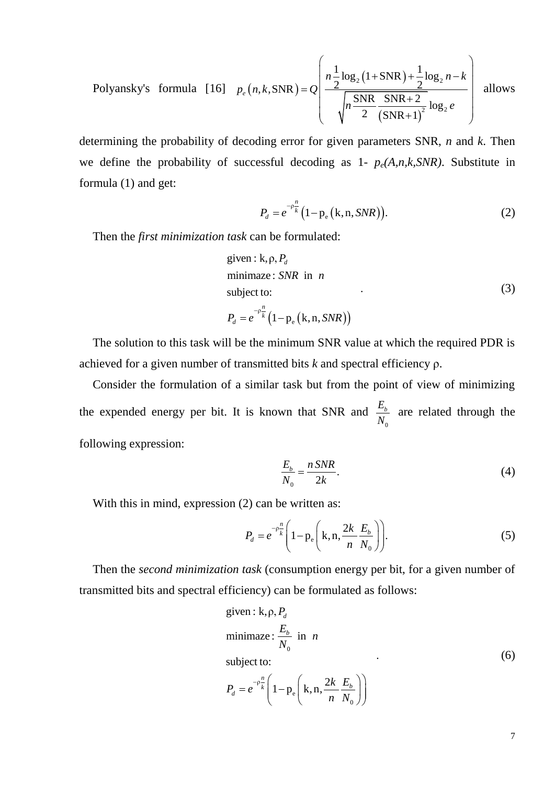Polyansky's formula [16]  $p_e(n, k, SNR)$  $(1+SNR)$  $(SNR+1)$  $_{2}(1+SNR)+\frac{1}{2}log_{2}$  $2^{10.62}$  $\frac{1}{2}$  log<sub>2</sub> (1+SNR) +  $\frac{1}{2}$  log  $k, SNR$ ) =  $Q\left(n\frac{1}{2}\log_2(1+SNR)+\frac{1}{2}\right)$  $\frac{g_2(1+SNR)+\frac{1}{2}\log_2(\frac{1}{2}S)NR+2}{\frac{SNR+2}{2}\log_2(\frac{1}{2}S)NR+2}$  $Q\left(n, k, SNR\right) = Q\left(\frac{2}{\sqrt{n \frac{SNR}{2} \frac{SNR+2}{(SNR+1)}}}\right)$  $n\frac{1}{2}\log_2(1+SNR)+\frac{1}{2}\log_2 n-k$  $n, k, SNR$ ) = Q  $p_e(n,k,\text{SNR}) = Q \left( \frac{n \frac{1}{2} \log_2(1 + \text{SNR}) + \frac{1}{2} \log_2 n - k}{\sqrt{n \frac{\text{SNR}}{2} \frac{\text{SNR} + 2}{(\text{SNR} + 1)^2} \log_2 e}} \right)$  allow  $= Q \left| \frac{n \frac{1}{2} \log_2 (1 + SNR) + \frac{1}{2} \log_2 n - k}{\sqrt{SNR + SNR + 2}} \right|$  allow  $\left(\frac{n_{2} \log_{2} (1+SNR)+2 \log_{2} n-k}{\sqrt{n_{2} \frac{SNR}{(SNR+1)^{2}}} \log_{2} e}\right)$  allow allows

determining the probability of decoding error for given parameters SNR, *n* and *k*. Then we define the probability of successful decoding as  $1-p_e(A,n,k,SNR)$ . Substitute in formula (1) and get:

$$
P_d = e^{-\rho \frac{n}{k}} (1 - p_e(k, n, SNR)).
$$
 (2)

Then the *first minimization task* can be formulated:

given: k, 
$$
\rho
$$
,  $P_d$   
minimize: *SNR* in *n*  
subject to:  

$$
P_d = e^{-\rho \frac{n}{k}} \left(1 - p_e (k, n, SNR)\right)
$$
 (3)

The solution to this task will be the minimum SNR value at which the required PDR is achieved for a given number of transmitted bits *k* and spectral efficiency ρ.

Consider the formulation of a similar task but from the point of view of minimizing the expended energy per bit. It is known that SNR and 0 *Eb N* are related through the following expression:

$$
\frac{E_b}{N_0} = \frac{n \, SNR}{2k}.\tag{4}
$$

With this in mind, expression (2) can be written as:

$$
P_d = e^{-\rho \frac{n}{k}} \left( 1 - p_e \left( k, n, \frac{2k}{n} \frac{E_b}{N_0} \right) \right).
$$
 (5)

Then the *second minimization task* (consumption energy per bit, for a given number of transmitted bits and spectral efficiency) can be formulated as follows:

given: k, p, 
$$
P_d
$$
  
\nminimize:  $\frac{E_b}{N_0}$  in *n*  
\nsubject to:  
\n
$$
P_d = e^{-p\frac{n}{k}} \left( 1 - p_e \left( k, n, \frac{2k}{n} \frac{E_b}{N_0} \right) \right)
$$
\n(6)

 $\mathbf{0}$ 

7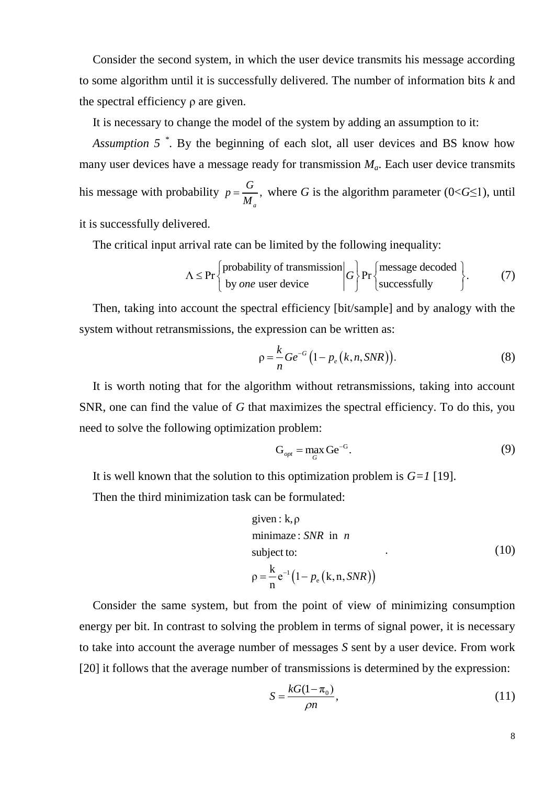Consider the second system, in which the user device transmits his message according to some algorithm until it is successfully delivered. The number of information bits *k* and the spectral efficiency ρ are given.

It is necessary to change the model of the system by adding an assumption to it:

*Assumption 5 \** . By the beginning of each slot, all user devices and BS know how many user devices have a message ready for transmission *Ma*. Each user device transmits his message with probability  $p = \frac{0}{16}$ , *a*  $p = \frac{G}{\sqrt{2}}$ *M*  $=\frac{0}{x}$ , where *G* is the algorithm parameter (0<*G*≤1), until

it is successfully delivered.

The critical input arrival rate can be limited by the following inequality:  
\n
$$
\Lambda \le \Pr\left\{\begin{matrix} \text{probability of transmission} \\ \text{by one user device} \end{matrix} \middle| G \right\} \Pr\left\{\begin{matrix} \text{message decoded} \\ \text{successfully} \end{matrix} \right\}. \tag{7}
$$

Then, taking into account the spectral efficiency [bit/sample] and by analogy with the system without retransmissions, the expression can be written as:

$$
\rho = \frac{k}{n} Ge^{-G} \left( 1 - p_e \left( k, n, SNR \right) \right). \tag{8}
$$

It is worth noting that for the algorithm without retransmissions, taking into account SNR, one can find the value of *G* that maximizes the spectral efficiency. To do this, you need to solve the following optimization problem:

$$
G_{opt} = \max_{G} Ge^{-G}.
$$
 (9)

It is well known that the solution to this optimization problem is *G=1* [19].

Then the third minimization task can be formulated:

given: k, 
$$
\rho
$$
  
\nminimize: *SNR* in *n*  
\nsubject to:  
\n
$$
\rho = \frac{k}{n} e^{-1} (1 - p_e (k, n, SNR))
$$
\n(10)

Consider the same system, but from the point of view of minimizing consumption energy per bit. In contrast to solving the problem in terms of signal power, it is necessary to take into account the average number of messages *S* sent by a user device. From work [20] it follows that the average number of transmissions is determined by the expression:

$$
S = \frac{kG(1 - \pi_0)}{\rho n},\tag{11}
$$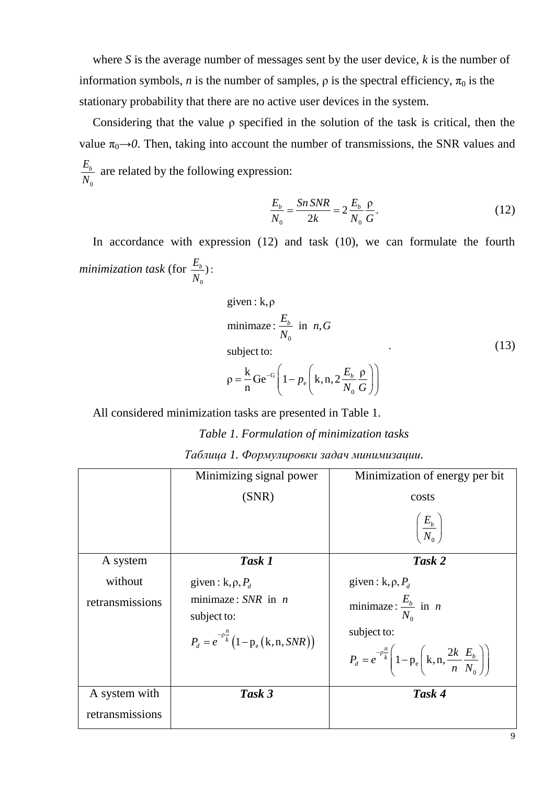where *S* is the average number of messages sent by the user device, *k* is the number of information symbols, *n* is the number of samples,  $\rho$  is the spectral efficiency,  $\pi_0$  is the stationary probability that there are no active user devices in the system.

Considering that the value ρ specified in the solution of the task is critical, then the value  $\pi_0 \rightarrow 0$ . Then, taking into account the number of transmissions, the SNR values and 0 *Eb N* are related by the following expression:

$$
\frac{E_b}{N_0} = \frac{Sn \, SNR}{2k} = 2 \frac{E_b}{N_0} \frac{\rho}{G}.
$$
\n(12)

In accordance with expression (12) and task (10), we can formulate the fourth *minimization task* (for 0  $\frac{E_b}{\sigma}$ ): *N*

given: k, 
$$
\rho
$$
  
\nminimize:  $\frac{E_b}{N_0}$  in *n*, *G*  
\nsubject to:  
\n
$$
\rho = \frac{k}{n} Ge^{-G} \left(1 - p_e \left(k, n, 2 \frac{E_b}{N_0} \frac{\rho}{G}\right)\right)
$$
\n(13)

All considered minimization tasks are presented in Table 1.

*Table 1. Formulation of minimization tasks*

|  | Таблица 1. Формулировки задач минимизации. |  |  |
|--|--------------------------------------------|--|--|
|--|--------------------------------------------|--|--|

|                                  | Minimizing signal power                                                                                                        | Minimization of energy per bit                                                                                                                                                            |
|----------------------------------|--------------------------------------------------------------------------------------------------------------------------------|-------------------------------------------------------------------------------------------------------------------------------------------------------------------------------------------|
|                                  | (SNR)                                                                                                                          | costs                                                                                                                                                                                     |
|                                  |                                                                                                                                | $\left(\frac{E_b}{N_o}\right)$                                                                                                                                                            |
| A system                         | Task 1                                                                                                                         | Task 2                                                                                                                                                                                    |
| without<br>retransmissions       | given: $k, \rho, P_d$<br>minimaze: $SNR$ in <i>n</i><br>subject to:<br>$P_{d} = e^{-\rho \frac{n}{k}} (1 - p_{e} (k, n, SNR))$ | given: $k, \rho, P_d$<br>minimaze: $\frac{E_b}{N_0}$ in <i>n</i><br>subject to:<br>$P_d = e^{-\rho \frac{n}{k}} \left( 1 - p_e \left( k, n, \frac{2k}{n} \frac{E_b}{N_o} \right) \right)$ |
| A system with<br>retransmissions | Task 3                                                                                                                         | Task 4                                                                                                                                                                                    |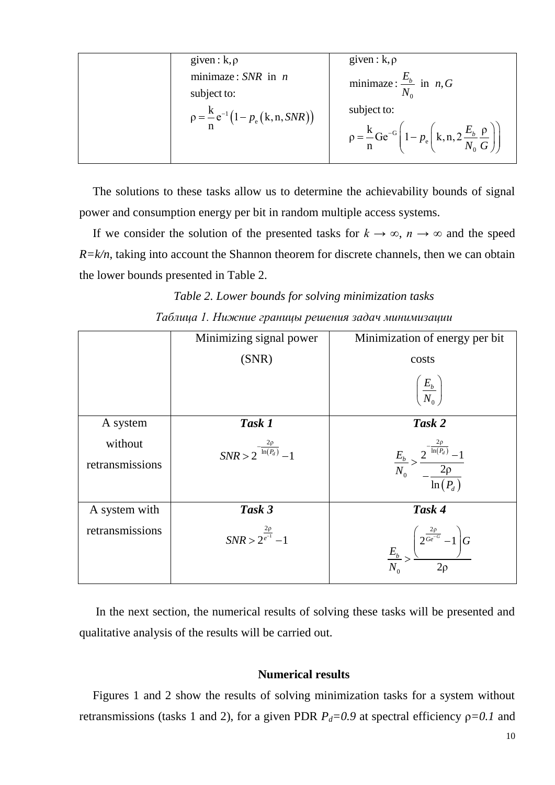| given: $k, \rho$                               | given : $k, \rho$                                                                                                        |
|------------------------------------------------|--------------------------------------------------------------------------------------------------------------------------|
| minimaze: $SNR$ in <i>n</i><br>subject to:     | minimaze: $\frac{E_b}{N_a}$ in <i>n</i> , <i>G</i>                                                                       |
| $p = \frac{k}{n} e^{-1} (1 - p_e (k, n, SNR))$ | subject to:<br>$\rho = \frac{k}{n} Ge^{-G} \left( 1 - p_e \left( k, n, 2 \frac{E_b}{N_o} \frac{\rho}{G} \right) \right)$ |

The solutions to these tasks allow us to determine the achievability bounds of signal power and consumption energy per bit in random multiple access systems.

If we consider the solution of the presented tasks for  $k \to \infty$ ,  $n \to \infty$  and the speed *R=k/n*, taking into account the Shannon theorem for discrete channels, then we can obtain the lower bounds presented in Table 2.

*Table 2. Lower bounds for solving minimization tasks Таблица 1. Нижние границы решения задач минимизации*

|                            | Minimizing signal power                 | Minimization of energy per bit                                                |
|----------------------------|-----------------------------------------|-------------------------------------------------------------------------------|
|                            | (SNR)                                   | costs                                                                         |
|                            |                                         | $\left(\frac{E_b}{N_0}\right)$                                                |
| A system                   | Task 1                                  | Task 2                                                                        |
| without<br>retransmissions | $SNR > 2^{-\frac{2\rho}{\ln(P_d)}} - 1$ | $\frac{E_b}{N_0} > \frac{2^{\frac{-2p}{\ln(P_d)}} - 1}{-\frac{2p}{\ln(P_d)}}$ |
| A system with              | Task 3                                  | Task 4                                                                        |
| retransmissions            | $SNR > 2^{\frac{2\rho}{e^{-1}}}-1$      | $\frac{E_b}{N_0} > \frac{\left(2^{\frac{2\rho}{Ge^{-G}}}-1\right)G}{2\rho}$   |

In the next section, the numerical results of solving these tasks will be presented and qualitative analysis of the results will be carried out.

# **Numerical results**

Figures 1 and 2 show the results of solving minimization tasks for a system without retransmissions (tasks 1 and 2), for a given PDR  $P_d = 0.9$  at spectral efficiency  $\rho = 0.1$  and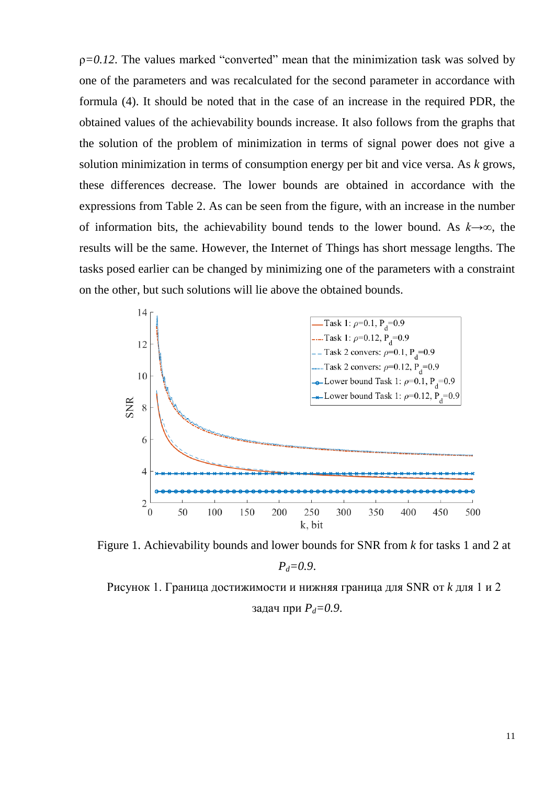$p=0.12$ . The values marked "converted" mean that the minimization task was solved by one of the parameters and was recalculated for the second parameter in accordance with formula (4). It should be noted that in the case of an increase in the required PDR, the obtained values of the achievability bounds increase. It also follows from the graphs that the solution of the problem of minimization in terms of signal power does not give a solution minimization in terms of consumption energy per bit and vice versa. As *k* grows, these differences decrease. The lower bounds are obtained in accordance with the expressions from Table 2. As can be seen from the figure, with an increase in the number of information bits, the achievability bound tends to the lower bound. As *k→∞*, the results will be the same. However, the Internet of Things has short message lengths. The tasks posed earlier can be changed by minimizing one of the parameters with a constraint on the other, but such solutions will lie above the obtained bounds.



Figure 1. Achievability bounds and lower bounds for SNR from *k* for tasks 1 and 2 at *Pd=0.9*.

Рисунок 1. Граница достижимости и нижняя граница для SNR от *k* для 1 и 2 задач при *Pd=0.9*.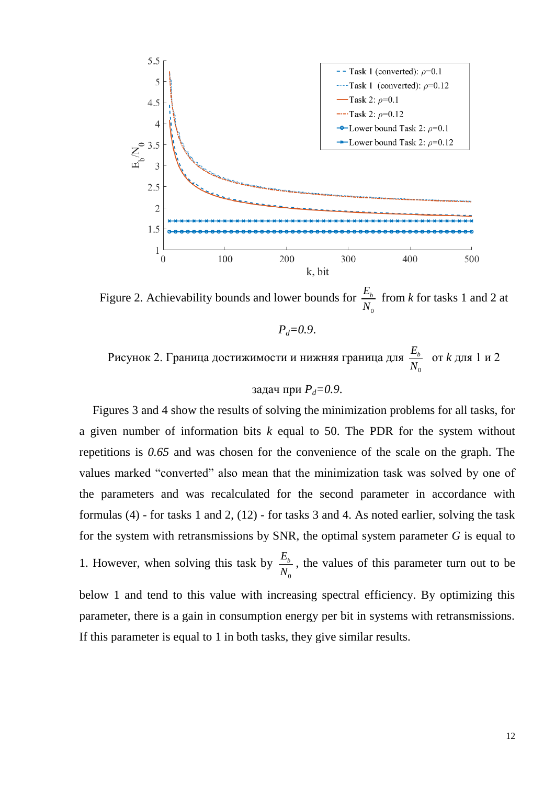

Figure 2. Achievability bounds and lower bounds for  $\mathbf 0$ *Eb N* from *k* for tasks 1 and 2 at

 $P_{d} = 0.9$ .

Рисунок 2. Граница достижимости и нижняя граница для  $\mathbf{0}$ *Eb N* от *k* для 1 и 2

задач при  $P_d = 0.9$ .

Figures 3 and 4 show the results of solving the minimization problems for all tasks, for a given number of information bits *k* equal to 50. The PDR for the system without repetitions is *0.65* and was chosen for the convenience of the scale on the graph. The values marked "converted" also mean that the minimization task was solved by one of the parameters and was recalculated for the second parameter in accordance with formulas (4) - for tasks 1 and 2, (12) - for tasks 3 and 4. As noted earlier, solving the task for the system with retransmissions by SNR, the optimal system parameter *G* is equal to 1. However, when solving this task by  $\mathbf{0}$ *Eb N* , the values of this parameter turn out to be below 1 and tend to this value with increasing spectral efficiency. By optimizing this parameter, there is a gain in consumption energy per bit in systems with retransmissions. If this parameter is equal to 1 in both tasks, they give similar results.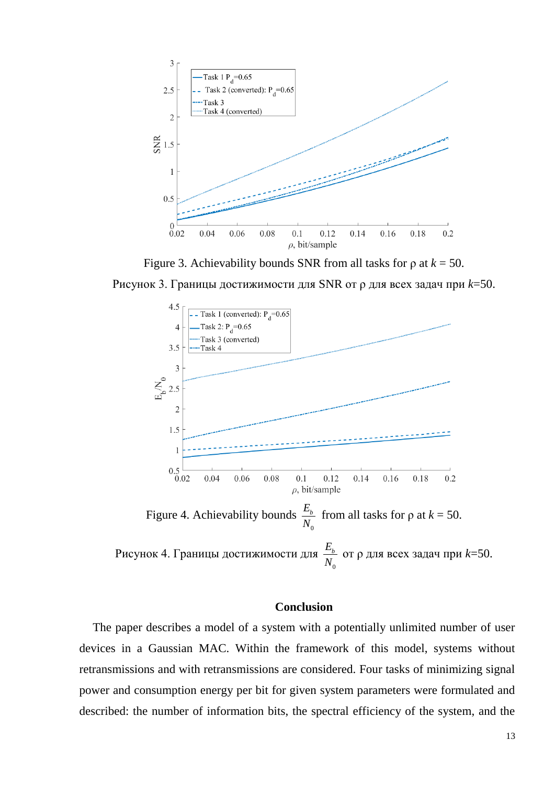

Figure 3. Achievability bounds SNR from all tasks for  $\rho$  at  $k = 50$ .

Рисунок 3. Границы достижимости для SNR от ρ для всех задач при *k*=50.



# **Conclusion**

The paper describes a model of a system with a potentially unlimited number of user devices in a Gaussian MAC. Within the framework of this model, systems without retransmissions and with retransmissions are considered. Four tasks of minimizing signal power and consumption energy per bit for given system parameters were formulated and described: the number of information bits, the spectral efficiency of the system, and the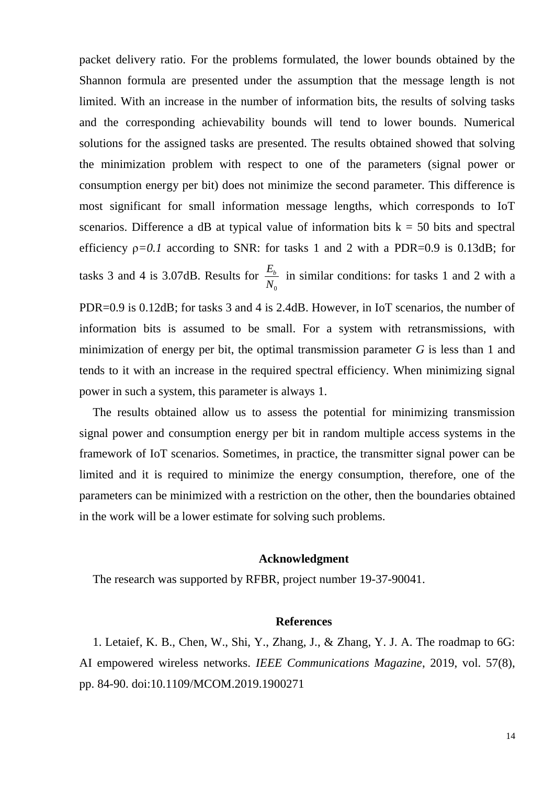packet delivery ratio. For the problems formulated, the lower bounds obtained by the Shannon formula are presented under the assumption that the message length is not limited. With an increase in the number of information bits, the results of solving tasks and the corresponding achievability bounds will tend to lower bounds. Numerical solutions for the assigned tasks are presented. The results obtained showed that solving the minimization problem with respect to one of the parameters (signal power or consumption energy per bit) does not minimize the second parameter. This difference is most significant for small information message lengths, which corresponds to IoT scenarios. Difference a dB at typical value of information bits  $k = 50$  bits and spectral efficiency  $p=0.1$  according to SNR: for tasks 1 and 2 with a PDR=0.9 is 0.13dB; for tasks 3 and 4 is 3.07dB. Results for  $\mathbf{0}$ *Eb N* in similar conditions: for tasks 1 and 2 with a

PDR=0.9 is 0.12dB; for tasks 3 and 4 is 2.4dB. However, in IoT scenarios, the number of information bits is assumed to be small. For a system with retransmissions, with minimization of energy per bit, the optimal transmission parameter *G* is less than 1 and tends to it with an increase in the required spectral efficiency. When minimizing signal power in such a system, this parameter is always 1.

The results obtained allow us to assess the potential for minimizing transmission signal power and consumption energy per bit in random multiple access systems in the framework of IoT scenarios. Sometimes, in practice, the transmitter signal power can be limited and it is required to minimize the energy consumption, therefore, one of the parameters can be minimized with a restriction on the other, then the boundaries obtained in the work will be a lower estimate for solving such problems.

## **Acknowledgment**

The research was supported by RFBR, project number 19-37-90041.

#### **References**

1. Letaief, K. B., Chen, W., Shi, Y., Zhang, J., & Zhang, Y. J. A. The roadmap to 6G: AI empowered wireless networks. *IEEE Communications Magazine*, 2019, vol. 57(8), pp. 84-90. doi:10.1109/MCOM.2019.1900271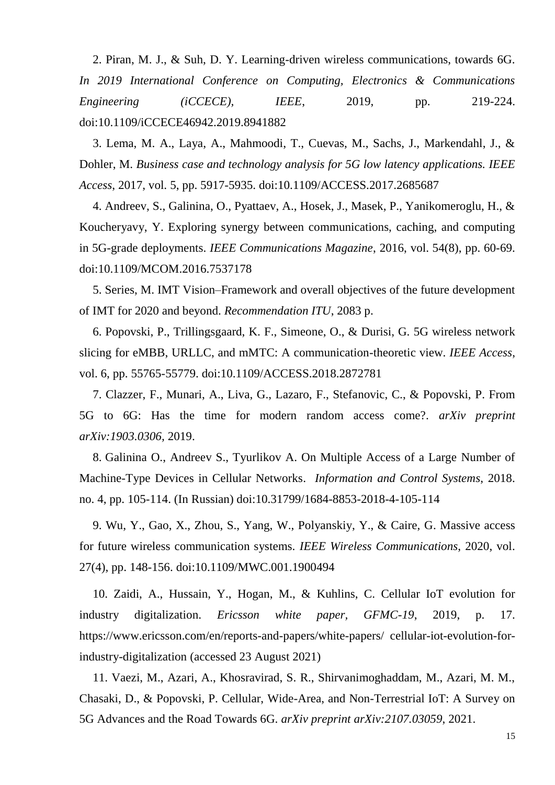2. Piran, M. J., & Suh, D. Y. Learning-driven wireless communications, towards 6G. *In 2019 International Conference on Computing, Electronics & Communications Engineering (iCCECE), IEEE*, 2019, pp. 219-224. doi:10.1109/iCCECE46942.2019.8941882

3. Lema, M. A., Laya, A., Mahmoodi, T., Cuevas, M., Sachs, J., Markendahl, J., & Dohler, M. *Business case and technology analysis for 5G low latency applications. IEEE Access*, 2017, vol. 5, pp. 5917-5935. doi:10.1109/ACCESS.2017.2685687

4. Andreev, S., Galinina, O., Pyattaev, A., Hosek, J., Masek, P., Yanikomeroglu, H., & Koucheryavy, Y. Exploring synergy between communications, caching, and computing in 5G-grade deployments. *IEEE Communications Magazine*, 2016, vol. 54(8), pp. 60-69. doi:10.1109/MCOM.2016.7537178

5. Series, M. IMT Vision–Framework and overall objectives of the future development of IMT for 2020 and beyond. *Recommendation ITU*, 2083 p.

6. Popovski, P., Trillingsgaard, K. F., Simeone, O., & Durisi, G. 5G wireless network slicing for eMBB, URLLC, and mMTC: A communication-theoretic view. *IEEE Access*, vol. 6, pp. 55765-55779. doi:10.1109/ACCESS.2018.2872781

7. Clazzer, F., Munari, A., Liva, G., Lazaro, F., Stefanovic, C., & Popovski, P. From 5G to 6G: Has the time for modern random access come?. *arXiv preprint arXiv:1903.0306,* 2019.

8. Galinina O., Andreev S., Tyurlikov A. On Multiple Access of a Large Number of Machine-Type Devices in Cellular Networks. *Information and Control Systems*, 2018. no. 4, pp. 105-114. (In Russian) doi:10.31799/1684-8853-2018-4-105-114

9. Wu, Y., Gao, X., Zhou, S., Yang, W., Polyanskiy, Y., & Caire, G. Massive access for future wireless communication systems. *IEEE Wireless Communications*, 2020, vol. 27(4), pp. 148-156. doi:10.1109/MWC.001.1900494

10. Zaidi, A., Hussain, Y., Hogan, M., & Kuhlins, C. Cellular IoT evolution for industry digitalization. *Ericsson white paper, GFMC-19*, 2019, p. 17. https://www.ericsson.com/en/reports-and-papers/white-papers/ cellular-iot-evolution-forindustry-digitalization (accessed 23 August 2021)

11. Vaezi, M., Azari, A., Khosravirad, S. R., Shirvanimoghaddam, M., Azari, M. M., Chasaki, D., & Popovski, P. Cellular, Wide-Area, and Non-Terrestrial IoT: A Survey on 5G Advances and the Road Towards 6G. *arXiv preprint arXiv:2107.03059*, 2021.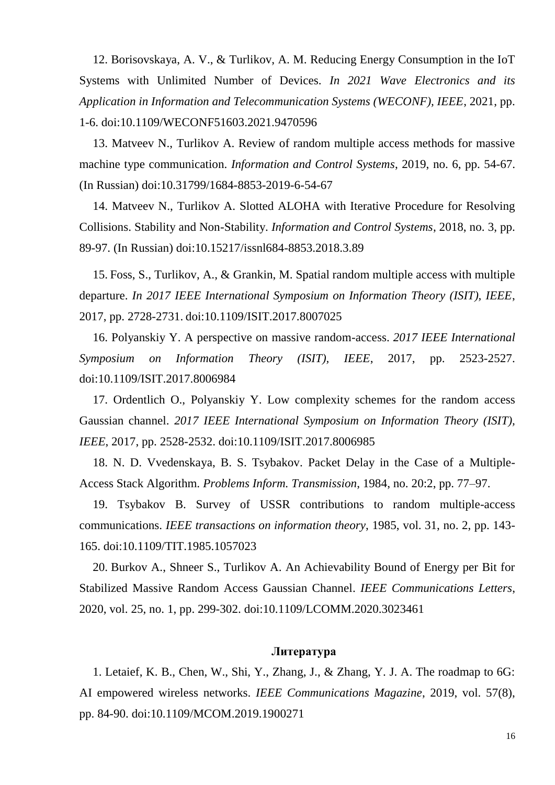12. Borisovskaya, A. V., & Turlikov, A. M. Reducing Energy Consumption in the IoT Systems with Unlimited Number of Devices. *In 2021 Wave Electronics and its Application in Information and Telecommunication Systems (WECONF), IEEE*, 2021, pp. 1-6. doi:10.1109/WECONF51603.2021.9470596

13. Matveev N., Turlikov A. Review of random multiple access methods for massive machine type communication. *Information and Control Systems*, 2019, no. 6, pp. 54-67. (In Russian) doi:10.31799/1684-8853-2019-6-54-67

14. Matveev N., Turlikov A. Slotted ALOHA with Iterative Procedure for Resolving Collisions. Stability and Non-Stability. *Information and Control Systems*, 2018, no. 3, pp. 89-97. (In Russian) doi:10.15217/issnl684-8853.2018.3.89

15. Foss, S., Turlikov, A., & Grankin, M. Spatial random multiple access with multiple departure. *In 2017 IEEE International Symposium on Information Theory (ISIT), IEEE*, 2017, pp. 2728-2731. doi:10.1109/ISIT.2017.8007025

16. Polyanskiy Y. A perspective on massive random-access. *2017 IEEE International Symposium on Information Theory (ISIT), IEEE*, 2017, pp. 2523-2527. doi:10.1109/ISIT.2017.8006984

17. Ordentlich O., Polyanskiy Y. Low complexity schemes for the random access Gaussian channel. *2017 IEEE International Symposium on Information Theory (ISIT), IEEE*, 2017, pp. 2528-2532. doi:10.1109/ISIT.2017.8006985

18. N. D. Vvedenskaya, B. S. Tsybakov. Packet Delay in the Case of a Multiple-Access Stack Algorithm. *Problems Inform. Transmission*, 1984, no. 20:2, pp. 77–97.

19. Tsybakov B. Survey of USSR contributions to random multiple-access communications. *IEEE transactions on information theory*, 1985, vol. 31, no. 2, pp. 143- 165. doi:10.1109/TIT.1985.1057023

20. Burkov A., Shneer S., Turlikov A. An Achievability Bound of Energy per Bit for Stabilized Massive Random Access Gaussian Channel. *IEEE Communications Letters*, 2020, vol. 25, no. 1, pp. 299-302. doi:10.1109/LCOMM.2020.3023461

### **Литература**

1. Letaief, K. B., Chen, W., Shi, Y., Zhang, J., & Zhang, Y. J. A. The roadmap to 6G: AI empowered wireless networks. *IEEE Communications Magazine*, 2019, vol. 57(8), pp. 84-90. doi:10.1109/MCOM.2019.1900271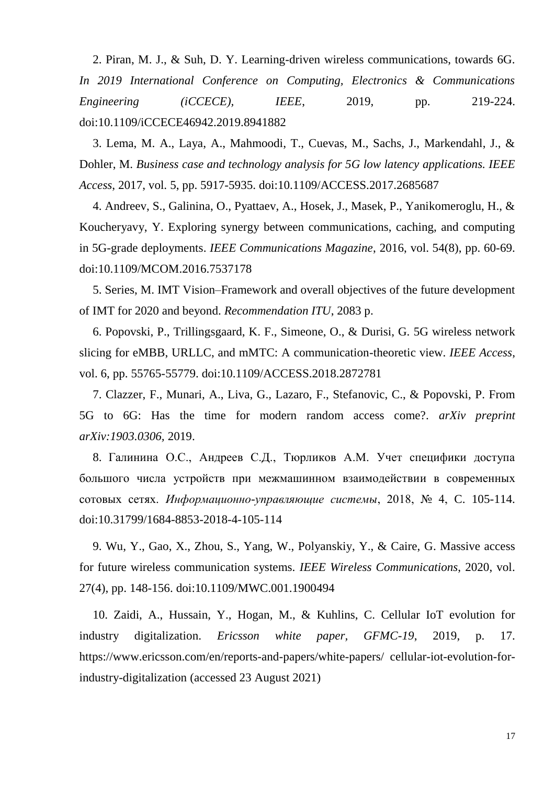2. Piran, M. J., & Suh, D. Y. Learning-driven wireless communications, towards 6G. *In 2019 International Conference on Computing, Electronics & Communications Engineering (iCCECE), IEEE*, 2019, pp. 219-224. doi:10.1109/iCCECE46942.2019.8941882

3. Lema, M. A., Laya, A., Mahmoodi, T., Cuevas, M., Sachs, J., Markendahl, J., & Dohler, M. *Business case and technology analysis for 5G low latency applications. IEEE Access*, 2017, vol. 5, pp. 5917-5935. doi:10.1109/ACCESS.2017.2685687

4. Andreev, S., Galinina, O., Pyattaev, A., Hosek, J., Masek, P., Yanikomeroglu, H., & Koucheryavy, Y. Exploring synergy between communications, caching, and computing in 5G-grade deployments. *IEEE Communications Magazine*, 2016, vol. 54(8), pp. 60-69. doi:10.1109/MCOM.2016.7537178

5. Series, M. IMT Vision–Framework and overall objectives of the future development of IMT for 2020 and beyond. *Recommendation ITU*, 2083 p.

6. Popovski, P., Trillingsgaard, K. F., Simeone, O., & Durisi, G. 5G wireless network slicing for eMBB, URLLC, and mMTC: A communication-theoretic view. *IEEE Access*, vol. 6, pp. 55765-55779. doi:10.1109/ACCESS.2018.2872781

7. Clazzer, F., Munari, A., Liva, G., Lazaro, F., Stefanovic, C., & Popovski, P. From 5G to 6G: Has the time for modern random access come?. *arXiv preprint arXiv:1903.0306,* 2019.

8. Галинина О.С., Андреев С.Д., Тюрликов А.М. Учет специфики доступа большого числа устройств при межмашинном взаимодействии в современных сотовых сетях. *Информационно-управляющие системы*, 2018, № 4, C. 105-114. doi:10.31799/1684-8853-2018-4-105-114

9. Wu, Y., Gao, X., Zhou, S., Yang, W., Polyanskiy, Y., & Caire, G. Massive access for future wireless communication systems. *IEEE Wireless Communications*, 2020, vol. 27(4), pp. 148-156. doi:10.1109/MWC.001.1900494

10. Zaidi, A., Hussain, Y., Hogan, M., & Kuhlins, C. Cellular IoT evolution for industry digitalization. *Ericsson white paper, GFMC-19*, 2019, p. 17. https://www.ericsson.com/en/reports-and-papers/white-papers/ cellular-iot-evolution-forindustry-digitalization (accessed 23 August 2021)